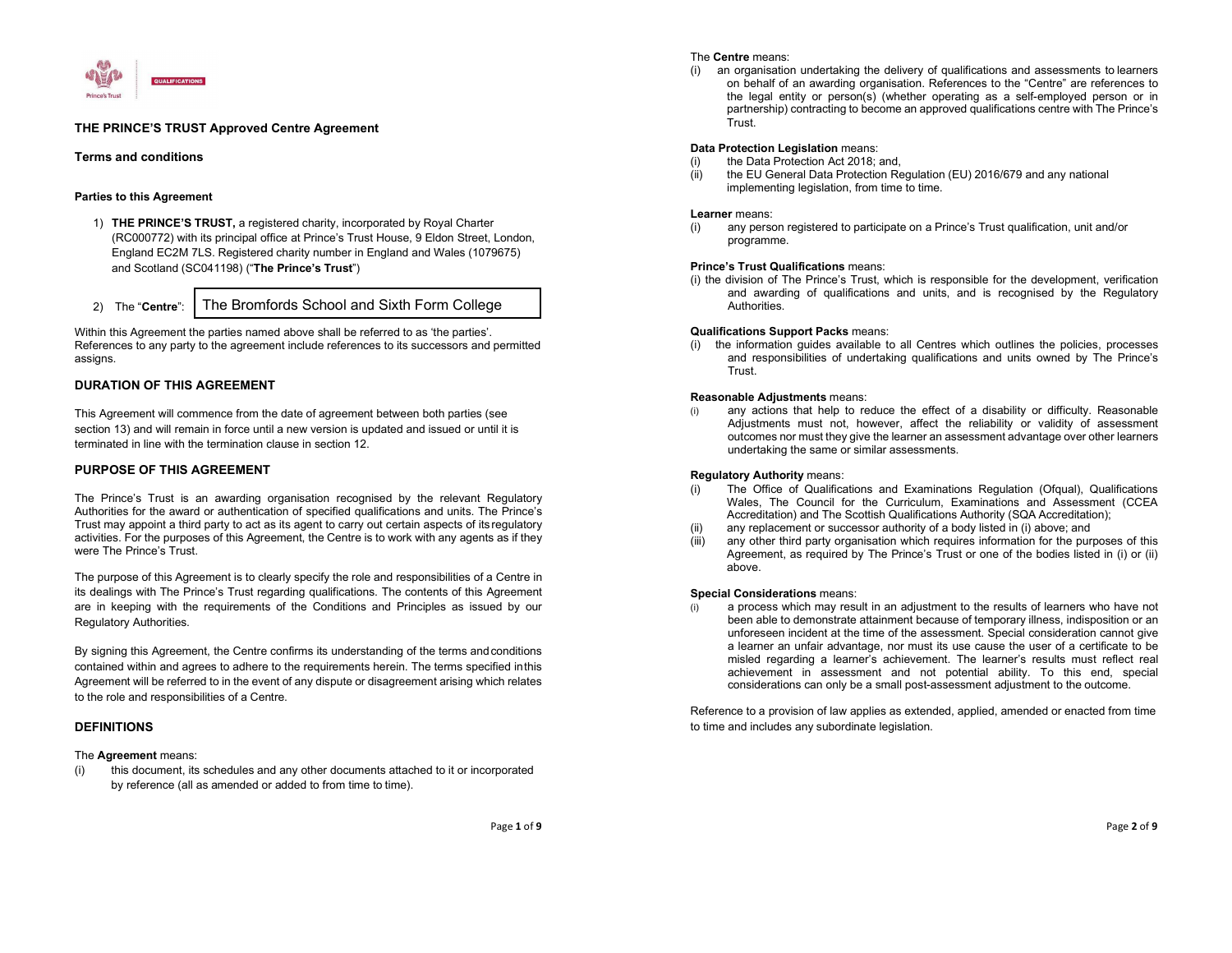

# THE PRINCE'S TRUST Approved Centre Agreement

# Terms and conditions

## Parties to this Agreement

- 1) THE PRINCE'S TRUST, a registered charity, incorporated by Royal Charter (RC000772) with its principal office at Prince's Trust House, 9 Eldon Street, London, England EC2M 7LS. Registered charity number in England and Wales (1079675) and Scotland (SC041198) ("The Prince's Trust")
- 2) The "Centre": The Bromfords School and Sixth Form College

Within this Agreement the parties named above shall be referred to as 'the parties'. References to any party to the agreement include references to its successors and permitted assigns.

# DURATION OF THIS AGREEMENT

This Agreement will commence from the date of agreement between both parties (see section 13) and will remain in force until a new version is updated and issued or until it is terminated in line with the termination clause in section 12.

## PURPOSE OF THIS AGREEMENT

The Prince's Trust is an awarding organisation recognised by the relevant Regulatory Authorities for the award or authentication of specified qualifications and units. The Prince's Trust may appoint a third party to act as its agent to carry out certain aspects of its regulatory activities. For the purposes of this Agreement, the Centre is to work with any agents as if they were The Prince's Trust.

The purpose of this Agreement is to clearly specify the role and responsibilities of a Centre in its dealings with The Prince's Trust regarding qualifications. The contents of this Agreement are in keeping with the requirements of the Conditions and Principles as issued by our Regulatory Authorities.

By signing this Agreement, the Centre confirms its understanding of the terms and conditions contained within and agrees to adhere to the requirements herein. The terms specified in this Agreement will be referred to in the event of any dispute or disagreement arising which relates to the role and responsibilities of a Centre.

# DEFINITIONS

The **Agreement** means:<br>(i) this document, its schedules and any other documents attached to it or incorporated by reference (all as amended or added to from time to time).

### The Centre means:

(i) an organisation undertaking the delivery of qualifications and assessments to learners on behalf of an awarding organisation. References to the "Centre" are references to the legal entity or person(s) (whether operating as a self-employed person or in partnership) contracting to become an approved qualifications centre with The Prince's Trust.

## Data Protection Legislation means:

- the Data Protection Act 2018; and,
- (ii) the EU General Data Protection Regulation (EU) 2016/679 and any national implementing legislation, from time to time.

### Learner means:

(i) any person registered to participate on a Prince's Trust qualification, unit and/or programme.

#### Prince's Trust Qualifications means:

(i) the division of The Prince's Trust, which is responsible for the development, verification and awarding of qualifications and units, and is recognised by the Regulatory Authorities.

#### Qualifications Support Packs means:

(i) the information guides available to all Centres which outlines the policies, processes and responsibilities of undertaking qualifications and units owned by The Prince's Trust.

#### Reasonable Adjustments means:

(i) any actions that help to reduce the effect of a disability or difficulty. Reasonable Adjustments must not, however, affect the reliability or validity of assessment outcomes nor must they give the learner an assessment advantage over other learners undertaking the same or similar assessments.

#### Regulatory Authority means:

- The Office of Qualifications and Examinations Regulation (Ofqual), Qualifications Wales, The Council for the Curriculum, Examinations and Assessment (CCEA Accreditation) and The Scottish Qualifications Authority (SQA Accreditation);
- any replacement or successor authority of a body listed in (i) above; and
- (iii) any other third party organisation which requires information for the purposes of this Agreement, as required by The Prince's Trust or one of the bodies listed in (i) or (ii) above.

#### Special Considerations means:

(i) a process which may result in an adjustment to the results of learners who have not been able to demonstrate attainment because of temporary illness, indisposition or an unforeseen incident at the time of the assessment. Special consideration cannot give a learner an unfair advantage, nor must its use cause the user of a certificate to be misled regarding a learner's achievement. The learner's results must reflect real achievement in assessment and not potential ability. To this end, special considerations can only be a small post-assessment adjustment to the outcome.

Reference to a provision of law applies as extended, applied, amended or enacted from time to time and includes any subordinate legislation.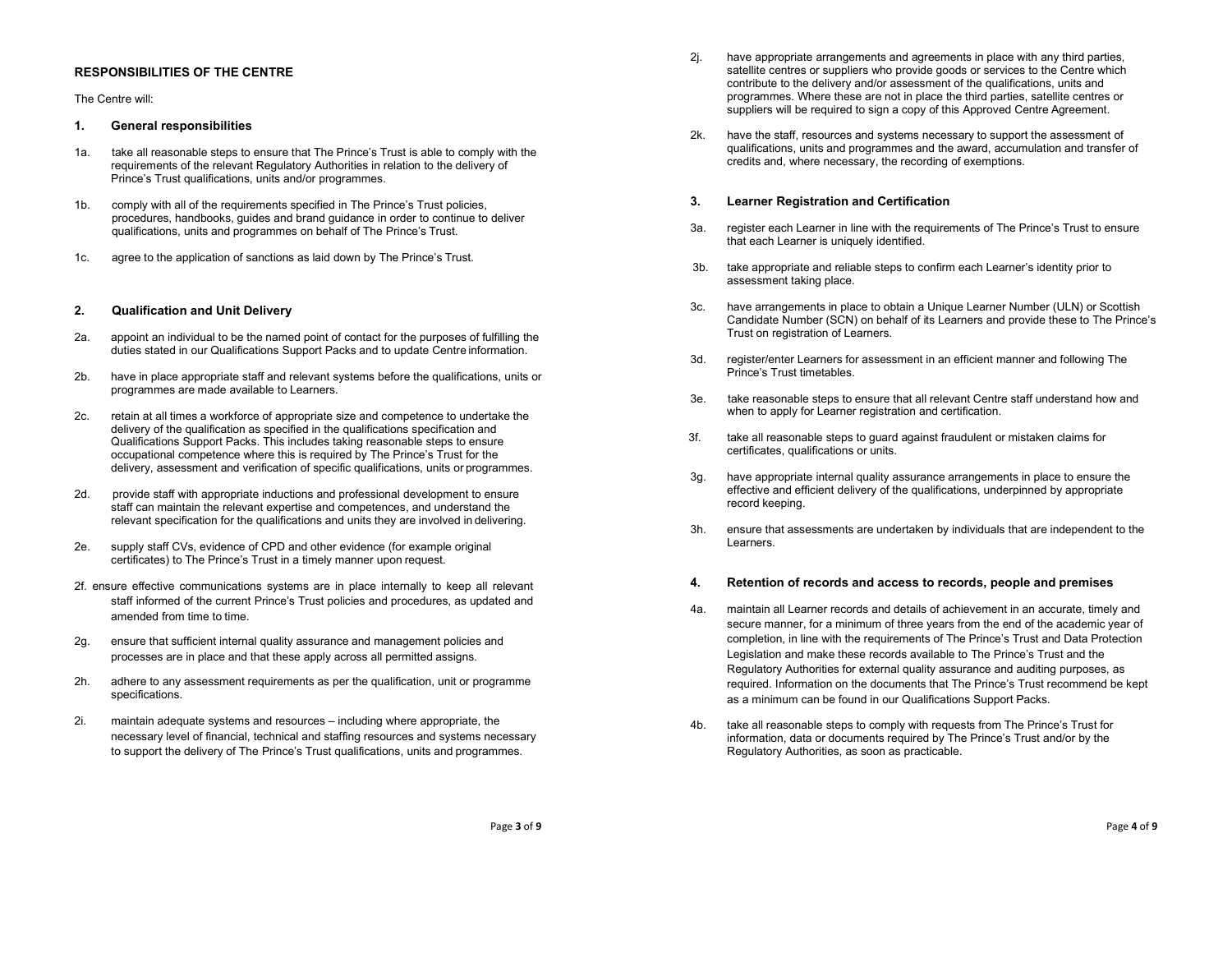# RESPONSIBILITIES OF THE CENTRE

### The Centre will:

## 1. General responsibilities

- 1a. take all reasonable steps to ensure that The Prince's Trust is able to comply with the requirements of the relevant Regulatory Authorities in relation to the delivery of Prince's Trust qualifications, units and/or programmes.
- 1b. comply with all of the requirements specified in The Prince's Trust policies, procedures, handbooks, guides and brand guidance in order to continue to deliver qualifications, units and programmes on behalf of The Prince's Trust.
- 1c. agree to the application of sanctions as laid down by The Prince's Trust.

# 2. Qualification and Unit Delivery

- 2a. appoint an individual to be the named point of contact for the purposes of fulfilling the duties stated in our Qualifications Support Packs and to update Centre information.
- 2b. have in place appropriate staff and relevant systems before the qualifications, units or programmes are made available to Learners.
- 2c. retain at all times a workforce of appropriate size and competence to undertake the delivery of the qualification as specified in the qualifications specification and Qualifications Support Packs. This includes taking reasonable steps to ensure occupational competence where this is required by The Prince's Trust for the delivery, assessment and verification of specific qualifications, units or programmes.
- 2d. provide staff with appropriate inductions and professional development to ensure staff can maintain the relevant expertise and competences, and understand the relevant specification for the qualifications and units they are involved in delivering.
- 2e. supply staff CVs, evidence of CPD and other evidence (for example original certificates) to The Prince's Trust in a timely manner upon request.
- 2f. ensure effective communications systems are in place internally to keep all relevant staff informed of the current Prince's Trust policies and procedures, as updated and amended from time to time.
- 2g. ensure that sufficient internal quality assurance and management policies and processes are in place and that these apply across all permitted assigns.
- 2h. adhere to any assessment requirements as per the qualification, unit or programme specifications.
- 2i. maintain adequate systems and resources including where appropriate, the necessary level of financial, technical and staffing resources and systems necessary to support the delivery of The Prince's Trust qualifications, units and programmes.
- 2j. have appropriate arrangements and agreements in place with any third parties, satellite centres or suppliers who provide goods or services to the Centre which contribute to the delivery and/or assessment of the qualifications, units and programmes. Where these are not in place the third parties, satellite centres or suppliers will be required to sign a copy of this Approved Centre Agreement.
- 2k. have the staff, resources and systems necessary to support the assessment of qualifications, units and programmes and the award, accumulation and transfer of credits and, where necessary, the recording of exemptions.

## 3. Learner Registration and Certification

- 3a. register each Learner in line with the requirements of The Prince's Trust to ensure that each Learner is uniquely identified.
- 3b. take appropriate and reliable steps to confirm each Learner's identity prior to assessment taking place.
- 3c. have arrangements in place to obtain a Unique Learner Number (ULN) or Scottish Candidate Number (SCN) on behalf of its Learners and provide these to The Prince's Trust on registration of Learners.
- 3d. register/enter Learners for assessment in an efficient manner and following The Prince's Trust timetables.
- 3e. take reasonable steps to ensure that all relevant Centre staff understand how and when to apply for Learner registration and certification.
- 3f. take all reasonable steps to guard against fraudulent or mistaken claims for certificates, qualifications or units.
- 3g. have appropriate internal quality assurance arrangements in place to ensure the effective and efficient delivery of the qualifications, underpinned by appropriate record keeping.
- 3h. ensure that assessments are undertaken by individuals that are independent to the Learners.

#### 4. Retention of records and access to records, people and premises

- 4a. maintain all Learner records and details of achievement in an accurate, timely and secure manner, for a minimum of three years from the end of the academic year of completion, in line with the requirements of The Prince's Trust and Data Protection Legislation and make these records available to The Prince's Trust and the Regulatory Authorities for external quality assurance and auditing purposes, as required. Information on the documents that The Prince's Trust recommend be kept as a minimum can be found in our Qualifications Support Packs.
- 4b. take all reasonable steps to comply with requests from The Prince's Trust for information, data or documents required by The Prince's Trust and/or by the Regulatory Authorities, as soon as practicable.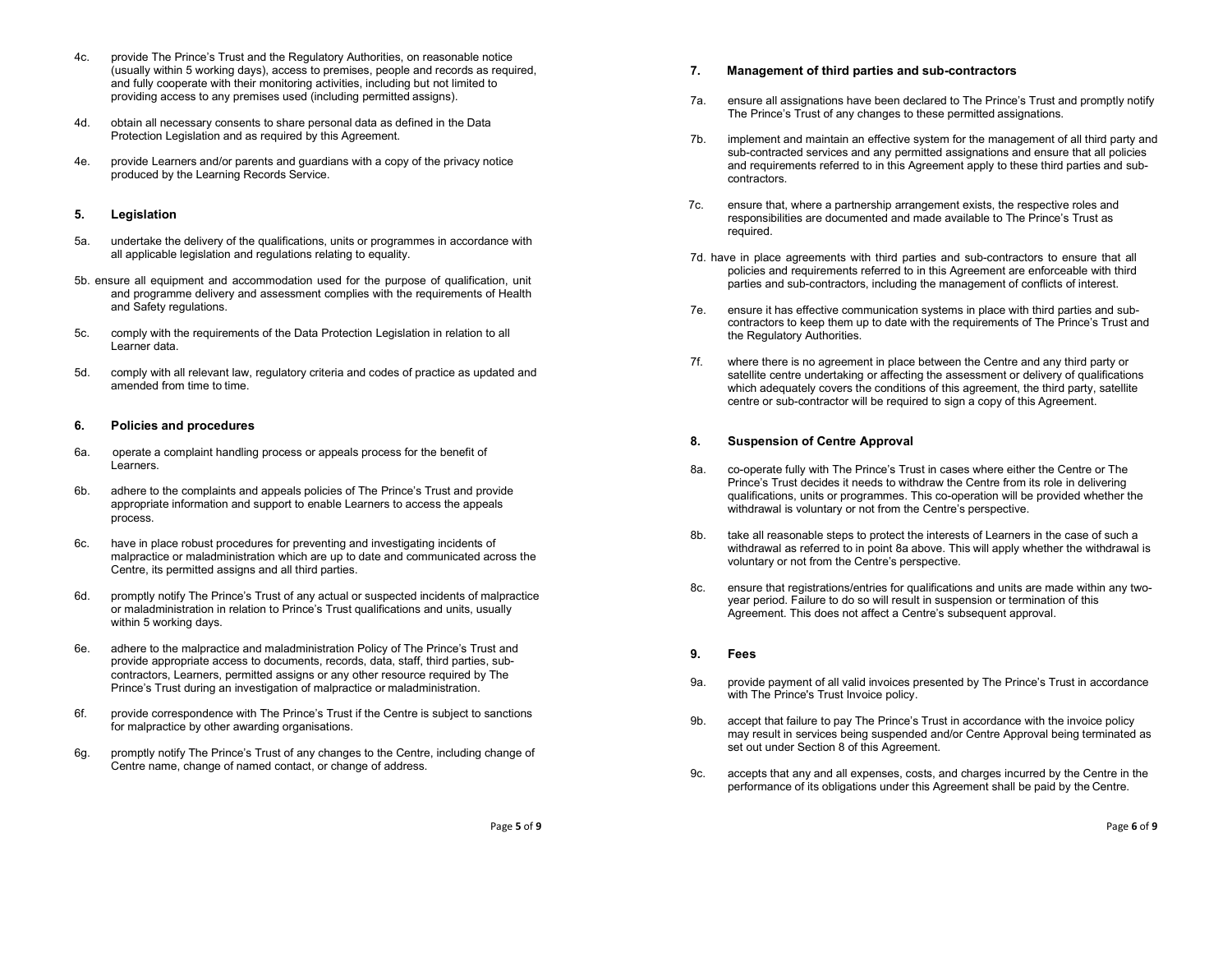- 4c. provide The Prince's Trust and the Regulatory Authorities, on reasonable notice (usually within 5 working days), access to premises, people and records as required, and fully cooperate with their monitoring activities, including but not limited to providing access to any premises used (including permitted assigns).
- 4d. obtain all necessary consents to share personal data as defined in the Data Protection Legislation and as required by this Agreement.
- 4e. provide Learners and/or parents and guardians with a copy of the privacy notice produced by the Learning Records Service.

## 5. Legislation

- 5a. undertake the delivery of the qualifications, units or programmes in accordance with all applicable legislation and regulations relating to equality.
- 5b. ensure all equipment and accommodation used for the purpose of qualification, unit and programme delivery and assessment complies with the requirements of Health and Safety regulations.
- 5c. comply with the requirements of the Data Protection Legislation in relation to all Learner data.
- 5d. comply with all relevant law, regulatory criteria and codes of practice as updated and amended from time to time.

## 6. Policies and procedures

- 6a. operate a complaint handling process or appeals process for the benefit of Learners.
- 6b. adhere to the complaints and appeals policies of The Prince's Trust and provide appropriate information and support to enable Learners to access the appeals process.
- 6c. have in place robust procedures for preventing and investigating incidents of malpractice or maladministration which are up to date and communicated across the Centre, its permitted assigns and all third parties.
- 6d. promptly notify The Prince's Trust of any actual or suspected incidents of malpractice or maladministration in relation to Prince's Trust qualifications and units, usually within 5 working days.
- 6e. adhere to the malpractice and maladministration Policy of The Prince's Trust and provide appropriate access to documents, records, data, staff, third parties, subcontractors, Learners, permitted assigns or any other resource required by The Prince's Trust during an investigation of malpractice or maladministration.
- 6f. provide correspondence with The Prince's Trust if the Centre is subject to sanctions for malpractice by other awarding organisations.
- 6g. promptly notify The Prince's Trust of any changes to the Centre, including change of Centre name, change of named contact, or change of address.

# 7. Management of third parties and sub-contractors

- 7a. ensure all assignations have been declared to The Prince's Trust and promptly notify The Prince's Trust of any changes to these permitted assignations.
- 7b. implement and maintain an effective system for the management of all third party and sub-contracted services and any permitted assignations and ensure that all policies and requirements referred to in this Agreement apply to these third parties and subcontractors.
- 7c. ensure that, where a partnership arrangement exists, the respective roles and responsibilities are documented and made available to The Prince's Trust as required.
- 7d. have in place agreements with third parties and sub-contractors to ensure that all policies and requirements referred to in this Agreement are enforceable with third parties and sub-contractors, including the management of conflicts of interest.
- 7e. ensure it has effective communication systems in place with third parties and subcontractors to keep them up to date with the requirements of The Prince's Trust and the Regulatory Authorities.
- 7f. where there is no agreement in place between the Centre and any third party or satellite centre undertaking or affecting the assessment or delivery of qualifications which adequately covers the conditions of this agreement, the third party, satellite centre or sub-contractor will be required to sign a copy of this Agreement.

# 8. Suspension of Centre Approval

- 8a. co-operate fully with The Prince's Trust in cases where either the Centre or The Prince's Trust decides it needs to withdraw the Centre from its role in delivering qualifications, units or programmes. This co-operation will be provided whether the withdrawal is voluntary or not from the Centre's perspective.
- 8b. take all reasonable steps to protect the interests of Learners in the case of such a withdrawal as referred to in point 8a above. This will apply whether the withdrawal is voluntary or not from the Centre's perspective.
- 8c. ensure that registrations/entries for qualifications and units are made within any twoyear period. Failure to do so will result in suspension or termination of this Agreement. This does not affect a Centre's subsequent approval.

## 9. Fees

- 9a. provide payment of all valid invoices presented by The Prince's Trust in accordance with The Prince's Trust Invoice policy.
- 9b. accept that failure to pay The Prince's Trust in accordance with the invoice policy may result in services being suspended and/or Centre Approval being terminated as set out under Section 8 of this Agreement.
- 9c. accepts that any and all expenses, costs, and charges incurred by the Centre in the performance of its obligations under this Agreement shall be paid by the Centre.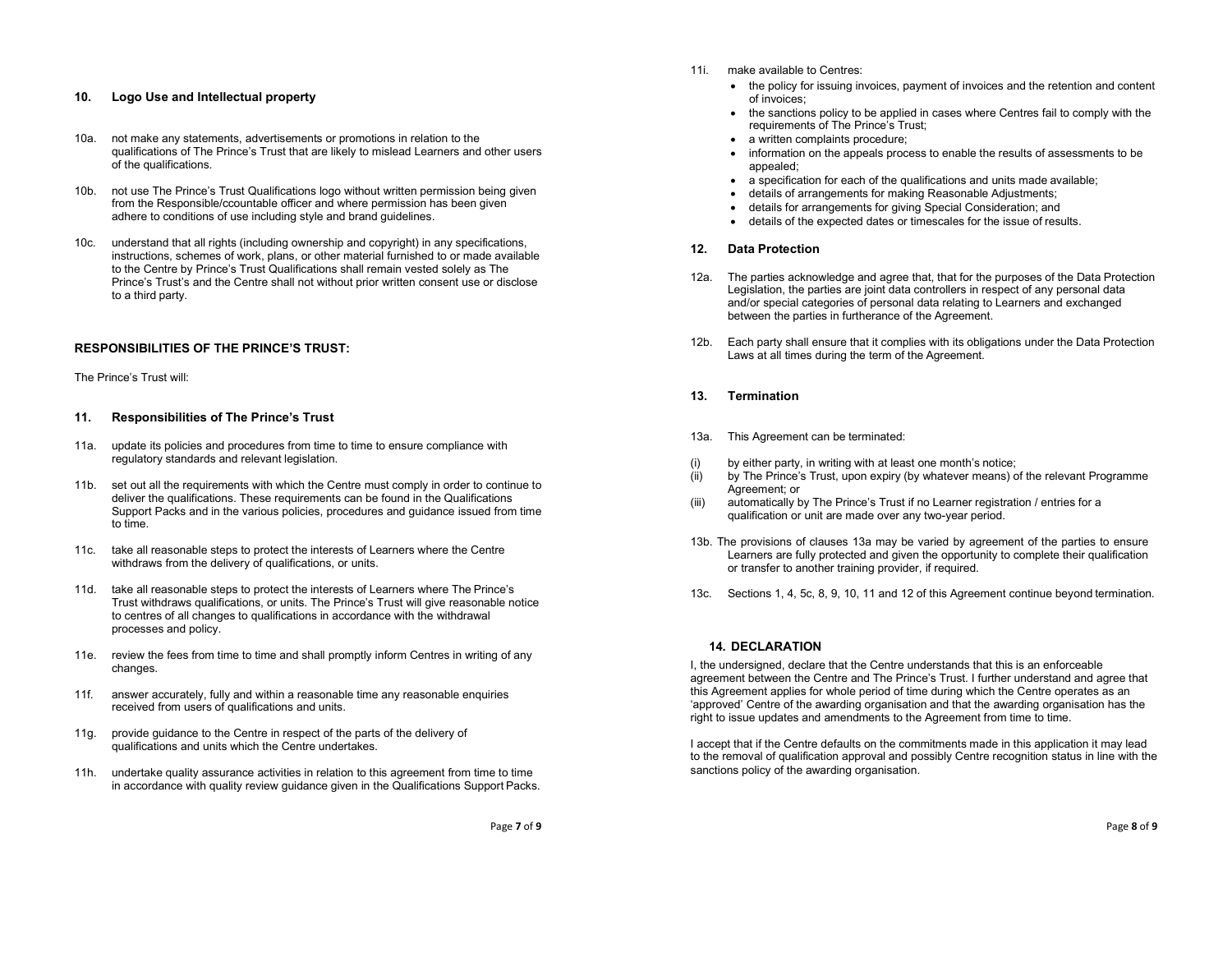# 10. Logo Use and Intellectual property

- 10a. not make any statements, advertisements or promotions in relation to the qualifications of The Prince's Trust that are likely to mislead Learners and other users of the qualifications.
- 10b. not use The Prince's Trust Qualifications logo without written permission being given from the Responsible/ccountable officer and where permission has been given adhere to conditions of use including style and brand guidelines.
- 10c. understand that all rights (including ownership and copyright) in any specifications, instructions, schemes of work, plans, or other material furnished to or made available to the Centre by Prince's Trust Qualifications shall remain vested solely as The Prince's Trust's and the Centre shall not without prior written consent use or disclose to a third party.

# RESPONSIBILITIES OF THE PRINCE'S TRUST:

#### The Prince's Trust will:

## 11. Responsibilities of The Prince's Trust

- 11a. update its policies and procedures from time to time to ensure compliance with regulatory standards and relevant legislation.
- 11b. set out all the requirements with which the Centre must comply in order to continue to deliver the qualifications. These requirements can be found in the Qualifications Support Packs and in the various policies, procedures and guidance issued from time to time.
- 11c. take all reasonable steps to protect the interests of Learners where the Centre withdraws from the delivery of qualifications, or units.
- 11d. take all reasonable steps to protect the interests of Learners where The Prince's Trust withdraws qualifications, or units. The Prince's Trust will give reasonable notice to centres of all changes to qualifications in accordance with the withdrawal processes and policy.
- 11e. review the fees from time to time and shall promptly inform Centres in writing of any changes.
- 11f. answer accurately, fully and within a reasonable time any reasonable enquiries received from users of qualifications and units.
- 11g. provide guidance to the Centre in respect of the parts of the delivery of qualifications and units which the Centre undertakes.
- 11h. undertake quality assurance activities in relation to this agreement from time to time in accordance with quality review guidance given in the Qualifications Support Packs.
- 11i. make available to Centres:
	- the policy for issuing invoices, payment of invoices and the retention and content of invoices;
	- the sanctions policy to be applied in cases where Centres fail to comply with the requirements of The Prince's Trust;
	- a written complaints procedure;
	- information on the appeals process to enable the results of assessments to be appealed;
	- a specification for each of the qualifications and units made available;
	- details of arrangements for making Reasonable Adjustments;
	- details for arrangements for giving Special Consideration; and
	- details of the expected dates or timescales for the issue of results.

# 12. Data Protection

- 12a. The parties acknowledge and agree that, that for the purposes of the Data Protection Legislation, the parties are joint data controllers in respect of any personal data and/or special categories of personal data relating to Learners and exchanged between the parties in furtherance of the Agreement.
- 12b. Each party shall ensure that it complies with its obligations under the Data Protection Laws at all times during the term of the Agreement.
- 13. Termination
- 13a. This Agreement can be terminated:
- (i) by either party, in writing with at least one month's notice;
- (ii) by The Prince's Trust, upon expiry (by whatever means) of the relevant Programme Agreement; or
- (iii) automatically by The Prince's Trust if no Learner registration / entries for a qualification or unit are made over any two-year period.
- 13b. The provisions of clauses 13a may be varied by agreement of the parties to ensure Learners are fully protected and given the opportunity to complete their qualification or transfer to another training provider, if required.
- 13c. Sections 1, 4, 5c, 8, 9, 10, 11 and 12 of this Agreement continue beyond termination.

## 14. DECLARATION

I, the undersigned, declare that the Centre understands that this is an enforceable agreement between the Centre and The Prince's Trust. I further understand and agree that this Agreement applies for whole period of time during which the Centre operates as an 'approved' Centre of the awarding organisation and that the awarding organisation has the right to issue updates and amendments to the Agreement from time to time.

I accept that if the Centre defaults on the commitments made in this application it may lead to the removal of qualification approval and possibly Centre recognition status in line with the sanctions policy of the awarding organisation.